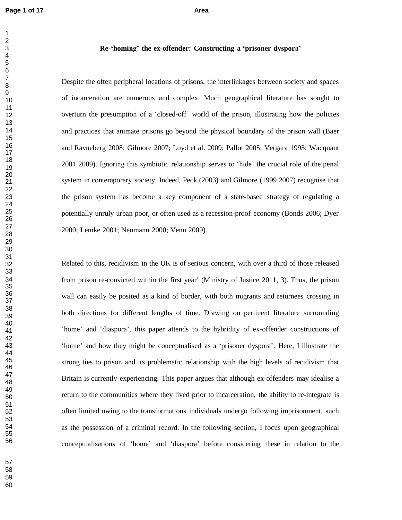### **Re-'homing' the ex-offender: Constructing a 'prisoner dyspora'**

Despite the often peripheral locations of prisons, the interlinkages between society and spaces 10 of incarceration are numerous and complex. Much geographical literature has sought to overturn the presumption of a 'closed-off' world of the prison, illustrating how the policies and practices that animate prisons go beyond the physical boundary of the prison wall (Baer and Ravneberg 2008; Gilmore 2007; Loyd et al. 2009; Pallot 2005; Vergara 1995; Wacquant <sup>2001</sup> 2009). Ignoring this symbiotic relationship serves to 'hide' the crucial role of the penal system in contemporary society. Indeed, Peck (2003) and Gilmore (1999 2007) recognise that the prison system has become a key component of a state-based strategy of regulating a potentially unruly urban poor, or often used as a recession-proof economy (Bonds 2006; Dyer 2000; Lemke 2001; Neumann 2000; Venn 2009).

Related to this, recidivism in the UK is of serious concern, with over a third of those released from prison re-convicted within the first year <sup>1</sup>(Ministry of Justice 2011, 3). Thus, the prison 36 wall can easily be posited as a kind of border, with both migrants and returnees crossing in 37 38<br>both directions for different lengths of time. Drawing on pertinent literature surrounding 'home' and 'diaspora', this paper attends to the hybridity of ex-offender constructions of 'home' and how they might be conceptualised as a 'prisoner dyspora'. Here, I illustrate the strong ties to prison and its problematic relationship with the high levels of recidivism that Britain is currently experiencing. This paper argues that although ex-offenders may idealise <sup>a</sup> for the communities where they lived prior to incarceration, the ability to re-integrate is often limited owing to the transformations individuals undergo following imprisonment, such as the possession of a criminal record. In the following section, I focus upon geographical 56 conceptualisations of 'home' and 'diaspora' before considering these in relation to the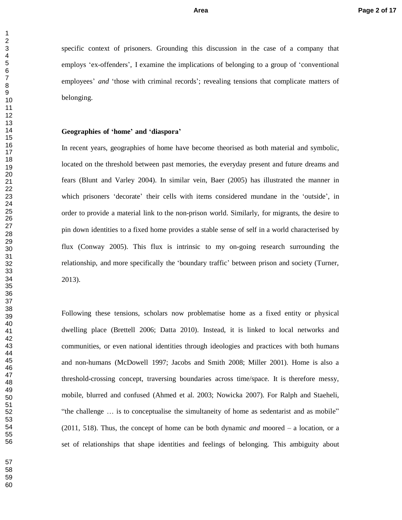specific context of prisoners. Grounding this discussion in the case of a company that employs 'ex-offenders', I examine the implications of belonging to a group of 'conventional employees' *and* 'those with criminal records'; revealing tensions that complicate matters of 10 belonging.

## **Geographies of 'home' and 'diaspora'**

16<br>In recent years, geographies of home have become theorised as both material and symbolic, 18<br>located on the threshold between past memories, the everyday present and future dreams and fears (Blunt and Varley 2004). In similar vein, Baer (2005) has illustrated the manner in which prisoners 'decorate' their cells with items considered mundane in the 'outside', in order to provide a material link to the non-prison world. Similarly, for migrants, the desire to 27 pin down identities to a fixed home provides a stable sense of self in a world characterised by 28  $\frac{25}{30}$  flux (Conway 2005). This flux is intrinsic to my on-going research surrounding the relationship, and more specifically the 'boundary traffic' between prison and society (Turner, 2013).

Following these tensions, scholars now problematise home as a fixed entity or physical dwelling place (Brettell 2006; Datta 2010). Instead, it is linked to local networks and communities, or even national identities through ideologies and practices with both humans and non-humans (McDowell 1997; Jacobs and Smith 2008; Miller 2001). Home is also a 47<br>threshold-crossing concept, traversing boundaries across time/space. It is therefore messy, mobile, blurred and confused (Ahmed et al. 2003; Nowicka 2007). For Ralph and Staeheli, "the challenge … is to conceptualise the simultaneity of home as sedentarist and as mobile" (2011, 518). Thus, the concept of home can be both dynamic *and* moored – a location, or a 56 set of relationships that shape identities and feelings of belonging. This ambiguity about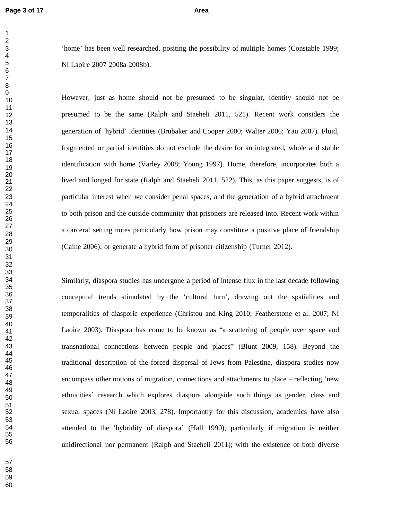'home' has been well researched, positing the possibility of multiple homes (Constable 1999; Ní Laoire 2007 2008a 2008b).

However, just as home should not be presumed to be singular, identity should not be presumed to be the same (Ralph and Staeheli 2011, 521). Recent work considers the generation of 'hybrid' identities (Brubaker and Cooper 2000; Walter 2006; Yau 2007). Fluid, fragmented or partial identities do not exclude the desire for an integrated, whole and stable 18<br>identification with home (Varley 2008; Young 1997). Home, therefore, incorporates both a lived and longed for state (Ralph and Staeheli 2011, 522). This, as this paper suggests, is of particular interest when we consider penal spaces, and the generation of a hybrid attachment to both prison and the outside community that prisoners are released into. Recent work within a carceral setting notes particularly how prison may constitute a positive place of friendship 28 (Caine 2006); or generate a hybrid form of prisoner citizenship (Turner 2012).

Similarly, diaspora studies has undergone a period of intense flux in the last decade following 36 conceptual trends stimulated by the 'cultural turn', drawing out the spatialities and 37 temporalities of diasporic experience (Christou and King 2010; Featherstone et al. 2007; Ní Laoire 2003). Diaspora has come to be known as "a scattering of people over space and transnational connections between people and places" (Blunt 2009, 158). Beyond the traditional description of the forced dispersal of Jews from Palestine, diaspora studies now encompass other notions of migration, connections and attachments to place – reflecting 'new ethnicities' research which explores diaspora alongside such things as gender, class and sexual spaces (Ní Laoire 2003, 278). Importantly for this discussion, academics have also attended to the 'hybridity of diaspora' (Hall 1990), particularly if migration is neither 56 unidirectional nor permanent (Ralph and Staeheli 2011); with the existence of both diverse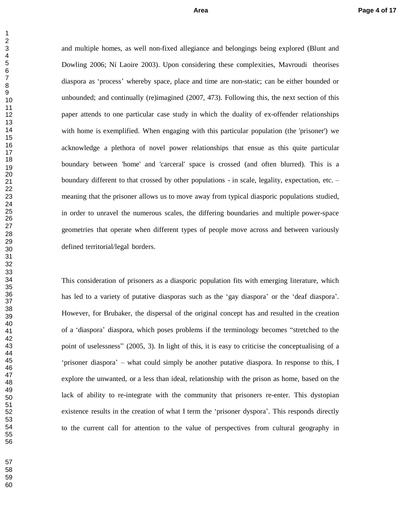and multiple homes, as well non-fixed allegiance and belongings being explored (Blunt and Dowling 2006; Ní Laoire 2003). Upon considering these complexities, Mavroudi theorises diaspora as 'process' whereby space, place and time are non-static; can be either bounded or <sup>8</sup> in the unbounded; and continually (re)imagined (2007, 473). Following this, the next section of this paper attends to one particular case study in which the duality of ex-offender relationships with home is exemplified. When engaging with this particular population (the 'prisoner') we 16<br>acknowledge a plethora of novel power relationships that ensue as this quite particular 18<br>boundary between 'home' and 'carceral' space is crossed (and often blurred). This is a 21 boundary different to that crossed by other populations - in scale, legality, expectation, etc. – meaning that the prisoner allows us to move away from typical diasporic populations studied, in order to unravel the numerous scales, the differing boundaries and multiple power-space geometries that operate when different types of people move across and between variously 28 30 defined territorial/legal borders.

This consideration of prisoners as a diasporic population fits with emerging literature, which  $\frac{36}{27}$  has led to a variety of putative diasporas such as the 'gay diaspora' or the 'deaf diaspora'. 38<br>However, for Brubaker, the dispersal of the original concept has and resulted in the creation of a 'diaspora' diaspora, which poses problems if the terminology becomes "stretched to the point of uselessness" (2005, 3). In light of this, it is easy to criticise the conceptualising of a 'prisoner diaspora' – what could simply be another putative diaspora. In response to this, I explore the unwanted, or a less than ideal, relationship with the prison as home, based on the <sup>10</sup><sub>50</sub> lack of ability to re-integrate with the community that prisoners re-enter. This dystopian existence results in the creation of what I term the 'prisoner dyspora'. This responds directly to the current call for attention to the value of perspectives from cultural geography in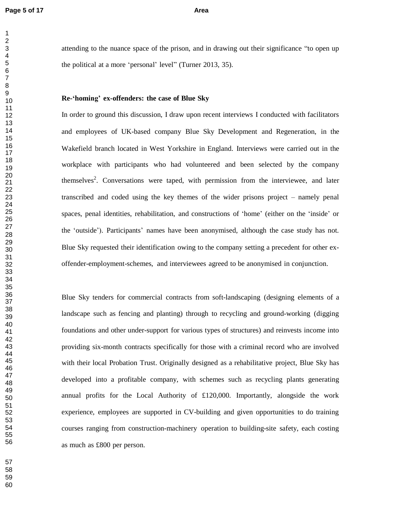**Page 5 of 17** Area

attending to the nuance space of the prison, and in drawing out their significance "to open up the political at a more 'personal' level" (Turner 2013, 35).

## **Re-'homing' ex-offenders: the case of Blue Sky**

In order to ground this discussion, I draw upon recent interviews I conducted with facilitators and employees of UK-based company Blue Sky Development and Regeneration, in the Wakefield branch located in West Yorkshire in England. Interviews were carried out in the workplace with participants who had volunteered and been selected by the company 20 themselves<sup>2</sup>. Conversations were taped, with permission from the interviewee, and later transcribed and coded using the key themes of the wider prisons project – namely penal spaces, penal identities, rehabilitation, and constructions of 'home' (either on the 'inside' or 27 the 'outside'). Participants' names have been anonymised, although the case study has not.  $\frac{25}{30}$  Blue Sky requested their identification owing to the company setting a precedent for other ex-offender-employment-schemes, and interviewees agreed to be anonymised in conjunction.

36<br>Blue Sky tenders for commercial contracts from soft-landscaping (designing elements of a landscape such as fencing and planting) through to recycling and ground-working (digging foundations and other under-support for various types of structures) and reinvests income into providing six-month contracts specifically for those with a criminal record who are involved with their local Probation Trust. Originally designed as a rehabilitative project, Blue Sky has 47 developed into a profitable company, with schemes such as recycling plants generating  $\frac{15}{50}$  annual profits for the Local Authority of £120,000. Importantly, alongside the work experience, employees are supported in CV-building and given opportunities to do training courses ranging from construction-machinery operation to building-site safety, each costing 56 as much as £800 per person.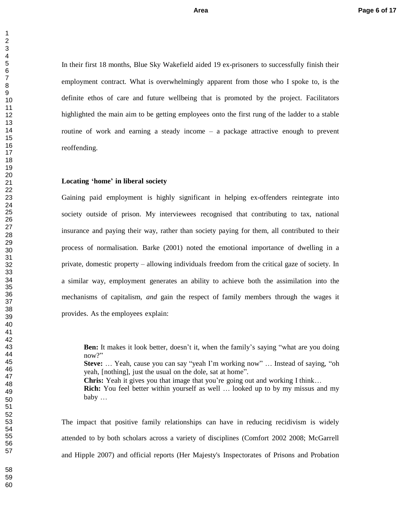In their first 18 months, Blue Sky Wakefield aided 19 ex-prisoners to successfully finish their employment contract. What is overwhelmingly apparent from those who I spoke to, is the 10 definite ethos of care and future wellbeing that is promoted by the project. Facilitators highlighted the main aim to be getting employees onto the first rung of the ladder to a stable routine of work and earning a steady income – a package attractive enough to prevent reoffending.

### **Locating 'home' in liberal society**

Gaining paid employment is highly significant in helping ex-offenders reintegrate into society outside of prison. My interviewees recognised that contributing to tax, national 27 insurance and paying their way, rather than society paying for them, all contributed to their 28 50 process of normalisation. Barke (2001) noted the emotional importance of dwelling in a private, domestic property – allowing individuals freedom from the critical gaze of society. In a similar way, employment generates an ability to achieve both the assimilation into the 36 mechanisms of capitalism, *and* gain the respect of family members through the wages it 37 provides. As the employees explain:

**Ben:** It makes it look better, doesn't it, when the family's saying "what are you doing 44  $now?$ "<br>45  $Stova.$ 

**Steve:** … Yeah, cause you can say "yeah I'm working now" … Instead of saying, "oh yeah, [nothing], just the usual on the dole, sat at home".

4<sup>4</sup><sup>4</sup><br>48 Chris: Yeah it gives you that image that you're going out and working I think…

**Rich:** You feel better within yourself as well … looked up to by my missus and my baby …

The impact that positive family relationships can have in reducing recidivism is widely attended to by both scholars across a variety of disciplines (Comfort 2002 2008; McGarrell and Hipple 2007) and official reports (Her Majesty's Inspectorates of Prisons and Probation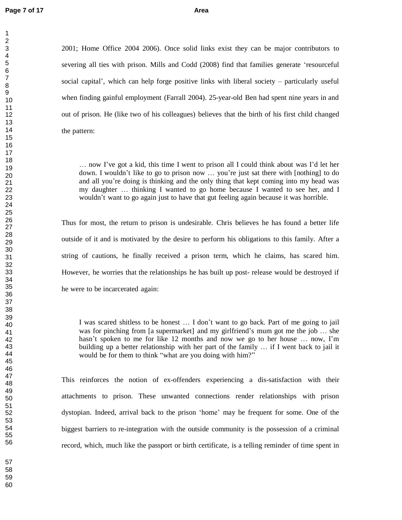2001; Home Office 2004 2006). Once solid links exist they can be major contributors to severing all ties with prison. Mills and Codd (2008) find that families generate 'resourceful social capital', which can help forge positive links with liberal society – particularly useful  $\frac{8}{3}$ when finding gainful employment (Farrall 2004). 25-year-old Ben had spent nine years in and out of prison. He (like two of his colleagues) believes that the birth of his first child changed 14 the pattern:

… now I've got <sup>a</sup> kid, this time <sup>I</sup> went to prison all <sup>I</sup> could think about was I'd let her 20 down. I wouldn't like to go to prison now ... you're just sat there with [nothing] to do 21 and all you're doing is thinking and the only thing that kept coming into my head was my daughter ... thinking I wanted to go home because I wanted to see her, and I my daughter … thinking I wanted to go home because I wanted to see her, and I wouldn't want to go again just to have that gut feeling again because it was horrible.

 Thus for most, the return to prison is undesirable. Chris believes he has found a better life outside of it and is motivated by the desire to perform his obligations to this family. After a string of cautions, he finally received a prison term, which he claims, has scared him. However, he worries that the relationships he has built up post- release would be destroyed if he were to be incarcerated again:

I was scared shitless to be honest ... I don't want to go back. Part of me going to jail was for pinching from [a supermarket] and my girlfriend's mum got me the job … she hasn't spoken to me for like 12 months and now we go to her house … now, I'm 43 building up a better relationship with her part of the family ... if I went back to jail it<br>44 would be for them to think "what are you doing with him?" would be for them to think "what are you doing with him?"

47<br>This reinforces the notion of ex-offenders experiencing a dis-satisfaction with their 50 attachments to prison. These unwanted connections render relationships with prison dystopian. Indeed, arrival back to the prison 'home' may be frequent for some. One of the biggest barriers to re-integration with the outside community is the possession of a criminal 56 secord, which, much like the passport or birth certificate, is a telling reminder of time spent in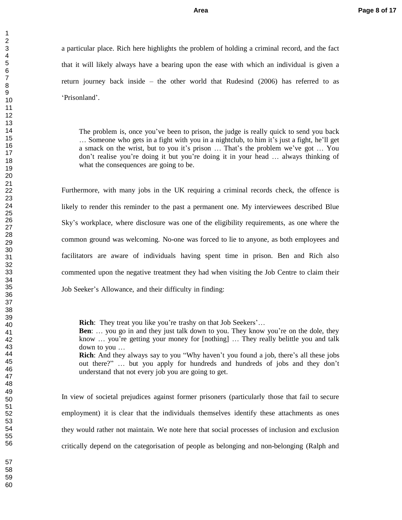a particular place. Rich here highlights the problem of holding a criminal record, and the fact that it will likely always have a bearing upon the ease with which an individual is given a return journey back inside – the other world that Rudesind (2006) has referred to as 'Prisonland'.

14 The problem is, once you've been to prison, the judge is really quick to send you back<br>15 Someone who gets in a fight with you in a nightclub to him it's just a fight he'll get 15 15 ... Someone who gets in a fight with you in a nightclub, to him it's just a fight, he'll get<br>16 ... Someok on the wrist, but to you it's prison. That's the problem we've get ... You a smack on the wrist, but to you it's prison … That's the problem we've got … You 17<br>18 don't realise you're doing it but you're doing it in your head … always thinking of what the consequences are going to be.

Furthermore, with many jobs in the UK requiring a criminal records check, the offence is likely to render this reminder to the past a permanent one. My interviewees described Blue Sky's workplace, where disclosure was one of the eligibility requirements, as one where the common ground was welcoming. No-one was forced to lie to anyone, as both employees and facilitators are aware of individuals having spent time in prison. Ben and Rich also commented upon the negative treatment they had when visiting the Job Centre to claim their Job Seeker's Allowance, and their difficulty in finding:

**Rich**: They treat you like you're trashy on that Job Seekers'...

**Ben**: … you go in and they just talk down to you. They know you're on the dole, they know … you're getting your money for [nothing] … They really belittle you and talk down to you …

44 **Rich**: And they always say to you "Why haven't you found a job, there's all these jobs<br>45 out there<sup>9</sup> but you apply for hundreds and hundreds of jobs and they don't 45 out there?" ... but you apply for hundreds and hundreds of jobs and they don't 46 understand that not every job you are going to get.

In view of societal prejudices against former prisoners (particularly those that fail to secure employment) it is clear that the individuals themselves identify these attachments as ones they would rather not maintain. We note here that social processes of inclusion and exclusion 56 critically depend on the categorisation of people as belonging and non-belonging (Ralph and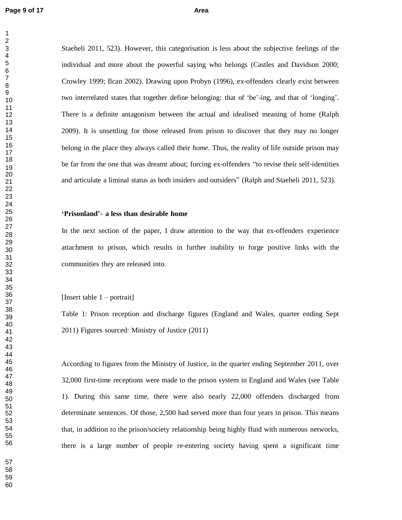Staeheli 2011, 523). However, this categorisation is less about the subjective feelings of the individual and more about the powerful saying who belongs (Castles and Davidson 2000; Crowley 1999; Ilcan 2002). Drawing upon Probyn (1996), ex-offenders clearly exist between two interrelated states that together define belonging: that of 'be'-ing, and that of 'longing'. There is a definite antagonism between the actual and idealised meaning of home (Ralph 2009). It is unsettling for those released from prison to discover that they may no longer 16 belong in the place they always called their *home*. Thus, the reality of life outside prison may 18<br>be far from the one that was dreamt about; forcing ex-offenders "to revise their self-identities 21 and articulate a liminal status as both insiders and outsiders" (Ralph and Staeheli 2011, 523).

# **'Prisonland'- a less than desirable home**

27<br>In the next section of the paper, I draw attention to the way that ex-offenders experience <sup>25</sup><sub>30</sub> attachment to prison, which results in further inability to forge positive links with the communities they are released into.

 $\frac{36}{57}$  [Insert table 1 – portrait]

Table 1: Prison reception and discharge figures (England and Wales, quarter ending Sept 2011) Figures sourced: Ministry of Justice (2011)

According to figures from the Ministry of Justice, in the quarter ending September 2011, over 47<br>48 32,000 first-time receptions were made to the prison system in England and Wales (see Table 1). During this same time, there were also nearly 22,000 offenders discharged from determinate sentences. Of those, 2,500 had served more than four years in prison. This means that, in addition to the prison/society relationship being highly fluid with numerous networks, 56 there is a large number of people re-entering society having spent a significant time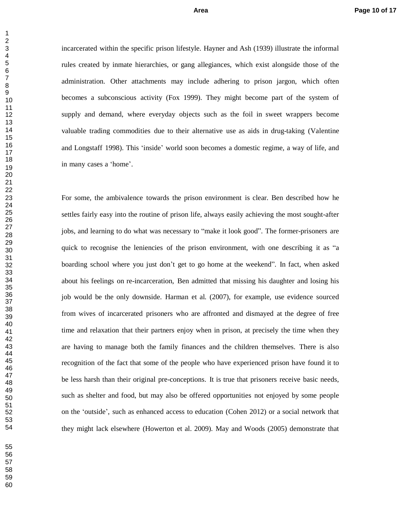incarcerated within the specific prison lifestyle. Hayner and Ash (1939) illustrate the informal rules created by inmate hierarchies, or gang allegiances, which exist alongside those of the administration. Other attachments may include adhering to prison jargon, which often 10 becomes a subconscious activity (Fox 1999). They might become part of the system of supply and demand, where everyday objects such as the foil in sweet wrappers become valuable trading commodities due to their alternative use as aids in drug-taking (Valentine 16 and Longstaff 1998). This 'inside' world soon becomes a domestic regime, a way of life, and 17 18<br>in many cases a 'home'.

For some, the ambivalence towards the prison environment is clear. Ben described how he settles fairly easy into the routine of prison life, always easily achieving the most sought-after 27 jobs, and learning to do what was necessary to "make it look good". The former-prisoners are  $\frac{25}{30}$  quick to recognise the leniencies of the prison environment, with one describing it as "a boarding school where you just don't get to go home at the weekend". In fact, when asked about his feelings on re-incarceration, Ben admitted that missing his daughter and losing his 36 job would be the only downside. Harman et al. (2007), for example, use evidence sourced 38 from wives of incarcerated prisoners who are affronted and dismayed at the degree of free time and relaxation that their partners enjoy when in prison, at precisely the time when they are having to manage both the family finances and the children themselves. There is also recognition of the fact that some of the people who have experienced prison have found it to 47<br>be less harsh than their original pre-conceptions. It is true that prisoners receive basic needs, 50 such as shelter and food, but may also be offered opportunities not enjoyed by some people on the 'outside', such as enhanced access to education (Cohen 2012) or a social network that they might lack elsewhere (Howerton et al. 2009). May and Woods (2005) demonstrate that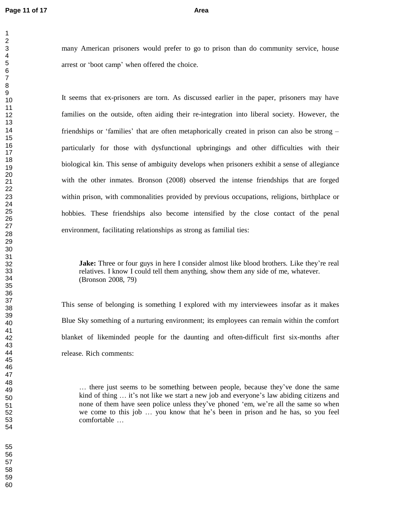many American prisoners would prefer to go to prison than do community service, house arrest or 'boot camp' when offered the choice.

 $\frac{1}{10}$  It seems that ex-prisoners are torn. As discussed earlier in the paper, prisoners may have families on the outside, often aiding their re-integration into liberal society. However, the friendships or 'families' that are often metaphorically created in prison can also be strong – **particularly** for those with dysfunctional upbringings and other difficulties with their 17 biological kin. This sense of ambiguity develops when prisoners exhibit <sup>a</sup> sense of allegiance with the other inmates. Bronson (2008) observed the intense friendships that are forged within prison, with commonalities provided by previous occupations, religions, birthplace or hobbies. These friendships also become intensified by the close contact of the penal environment, facilitating relationships as strong as familial ties:

**Jake:** Three or four guys in here I consider almost like blood brothers. Like they're real relatives. I know I could tell them anything, show them any side of me, whatever. (Bronson 2008, 79)

This sense of belonging is something <sup>I</sup> explored with my interviewees insofar as it makes Blue Sky something of a nurturing environment; its employees can remain within the comfort blanket of likeminded people for the daunting and often-difficult first six-months after release. Rich comments:

… there just seems to be something between people, because they've done the same 50 kind of thing ... it's not like we start a new job and everyone's law abiding citizens and none of them have seen police unless they've phoned 'em, we're all the same so when we come to this job … you know that he's been in prison and he has, so you feel comfortable …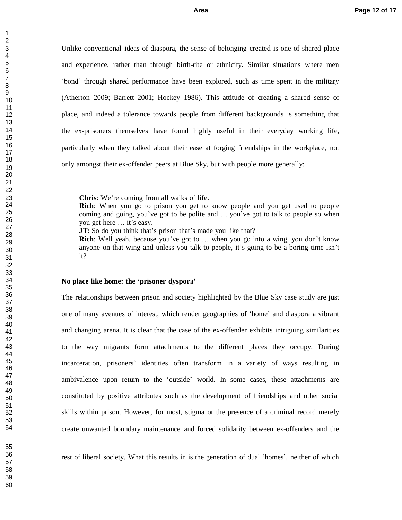Unlike conventional ideas of diaspora, the sense of belonging created is one of shared place and experience, rather than through birth-rite or ethnicity. Similar situations where men 'bond' through shared performance have been explored, such as time spent in the military (Atherton 2009; Barrett 2001; Hockey 1986). This attitude of creating a shared sense of place, and indeed a tolerance towards people from different backgrounds is something that the ex-prisoners themselves have found highly useful in their everyday working life, 16 particularly when they talked about their ease at forging friendships in the workplace, not 18<br>only amongst their ex-offender peers at Blue Sky, but with people more generally:

23 **Chris**: We're coming from all walks of life.<br>24 **Rich:** When you go to prison you get to

24 **Rich**: When you go to prison you get to know people and you get used to people<br>25 coming and going you've got to be polite and you've got to talk to people so when 25 coming and going, you've got to be polite and … you've got to talk to people so when<br>26 vou got bere it's gosy. 26 you get here  $\dots$  it's easy.<br>27

27<br>28 **JT**: So do you think that's prison that's made you like that?

**Rich**: Well yeah, because you've got to ... when you go into a wing, you don't know 30 anyone on that wing and unless you talk to people, it's going to be a boring time isn't it?

### **No place like home: the 'prisoner dyspora'**

 $\frac{36}{27}$  The relationships between prison and society highlighted by the Blue Sky case study are just one of many avenues of interest, which render geographies of 'home' and diaspora a vibrant and changing arena. It is clear that the case of the ex-offender exhibits intriguing similarities to the way migrants form attachments to the different places they occupy. During incarceration, prisoners' identities often transform in a variety of ways resulting in ambivalence upon return to the 'outside' world. In some cases, these attachments are constituted by positive attributes such as the development of friendships and other social skills within prison. However, for most, stigma or the presence of a criminal record merely create unwanted boundary maintenance and forced solidarity between ex-offenders and the

rest of liberal society. What this results in is the generation of dual 'homes', neither of which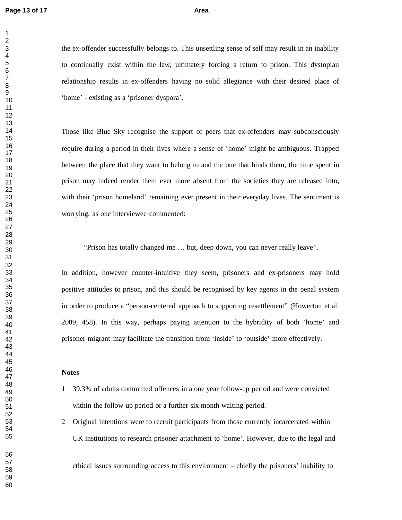the ex-offender successfully belongs to. This unsettling sense of self may result in an inability to continually exist within the law, ultimately forcing a return to prison. This dystopian relationship results in ex-offenders having no solid allegiance with their desired place of 'home' - existing as a 'prisoner dyspora'.

Those like Blue Sky recognise the support of peers that ex-offenders may subconsciously 16 require during a period in their lives where a sense of 'home' might be ambiguous. Trapped 18<br>between the place that they want to belong to and the one that binds them, the time spent in prison may indeed render them ever more absent from the societies they are released into, with their 'prison homeland' remaining ever present in their everyday lives. The sentiment is worrying, as one interviewee commented:

<sup>25</sup><sup>30</sup> <sup>"Prison has totally changed me ... but, deep down, you can never really leave".</sup>

In addition, however counter-intuitive they seem, prisoners and ex-prisoners may hold positive attitudes to prison, and this should be recognised by key agents in the penal system 37 in order to produce a "person-centered approach to supporting resettlement" (Howerton et al. 2009, 458). In this way, perhaps paying attention to the hybridity of both 'home' and prisoner-migrant may facilitate the transition from 'inside' to 'outside' more effectively.

- 1 39.3% of adults committed offences in <sup>a</sup> one year follow-up period and were convicted within the follow up period or a further six month waiting period.
- 2 Original intentions were to recruit participants from those currently incarcerated within UK institutions to research prisoner attachment to 'home'. However, due to the legal and

ethical issues surrounding access to this environment – chiefly the prisoners' inability to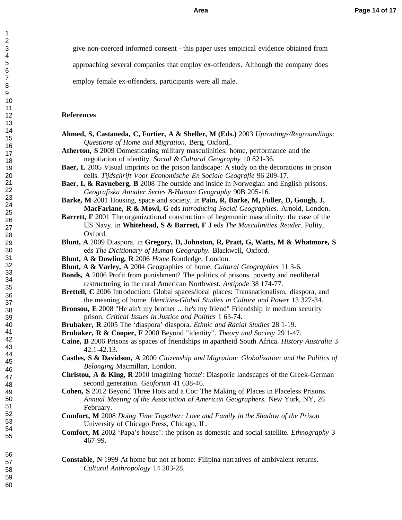give non-coerced informed consent - this paper uses empirical evidence obtained from

approaching several companies that employ ex-offenders. Although the company does

employ female ex-offenders, participants were all male.

### **References**

- **Ahmed, S, Castaneda, C, Fortier, A & Sheller, M (Eds.)** 2003 *Uprootings/Regroundings: Questions of Home and Migration,* Berg, Oxford,.
- **Atherton, S** 2009 Domesticating military masculinities: home, performance and the negotiation of identity. *Social & Cultural Geography* 10 821-36.
- **Baer, L** 2005 Visual imprints on the prison landscape: A study on the decorations in prison cells. *Tijdschrift Voor Economische En Sociale Geografie* 96 209-17.
- **Baer, L & Ravneberg, B** 2008 The outside and inside in Norwegian and English prisons.<br>22 Congratista Annalar Series B-Human Geography 90B 205-16 *Geografiska Annaler Series B-Human Geography* 90B 205-16.
- **Barke, M** 2001 Housing, space and society. in **Pain, R, Barke, M, Fuller, D, Gough, J, Example 35**<br>**MacFarlane, R & Mowl, G** eds *Introducing Social Geographies*. Arnold, London.<br>**Barrett, F** 2001 The organizational construction of hegemonic masculinity: the case of the
- US Navy. in **Whitehead, S & Barrett, F J** eds *The Masculinities Reader.* Polity, Oxford.
- **Blunt, A** 2009 Diaspora. in **Gregory, D, Johnston, R, Pratt, G, Watts, M & Whatmore, S** eds *The Dicitionary of Human Geography.* Blackwell, Oxford.
- **Blunt, A & Dowling, R** 2006 *Home* Routledge, London.
- **Blunt, A & Varley, A** 2004 Geographies of home. *Cultural Geographies* 11 3-6.
	- **Bonds, A** 2006 Profit from punishment? The politics of prisons, poverty and neoliberal restructuring in the rural American Northwest. *Antipode* 38 174-77.
- **Brettell, C** 2006 Introduction: Global spaces/local places: Transnationalism, diaspora, and  $\frac{26}{50}$ the meaning of home. *Identities-Global Studies in Culture and Power* 13 327-34.
- **Bronson, E** 2008 "He ain't my brother ... he's my friend" Friendship in medium security prison. *Critical Issues in Justice and Politics* 1 63-74.
- **Brubaker, R** 2005 The 'diaspora' diaspora. *Ethnic and Racial Studies* 28 1-19.
- **Brubaker, R & Cooper, F** 2000 Beyond "identity". *Theory and Society* 29 1-47.
- **Caine, B** 2006 Prisons as spaces of friendships in apartheid South Africa. *History Australia* 3 <br> $42.1-42.13$ .<br> $44$
- **Castles, <sup>S</sup> & Davidson, <sup>A</sup>** <sup>2000</sup> *Citizenship and Migration: Globalization and the Politics of* <sup>45</sup>*Belonging* Macmillan, London.
- **Christou, A & King, R** 2010 Imagining 'home': Diasporic landscapes of the Greek-German second generation. *Geoforum* 41 638-46.
- **Cohen, S** 2012 Beyond Three Hots and a Cot: The Making of Places in Placeless Prisons. *Annual Meeting of the Association of American Geographers.* New York, NY, 26 51 February.<br>52 Comfort M 200
- **Comfort, M** 2008 *Doing Time Together: Love and Family in the Shadow of the Prison* 53 University of Chicago Press, Chicago, IL.<br>54 (1.2000, 1.3.1)
- **Comfort, M** 2002 'Papa's house': the prison as domestic and social satellite. *Ethnography* 3 467-99.
	- **Constable, N** 1999 At home but not at home: Filipina narratives of ambivalent returns. *Cultural Anthropology* 14 203-28.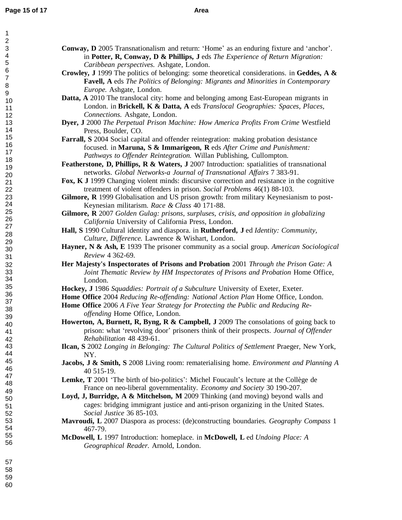**Page 15 of 17** Area

|   | <b>Conway, D</b> 2005 Transnationalism and return: 'Home' as an enduring fixture and 'anchor'.                                                                                                                                    |
|---|-----------------------------------------------------------------------------------------------------------------------------------------------------------------------------------------------------------------------------------|
| 4 | in Potter, R, Conway, D & Phillips, J eds The Experience of Return Migration:                                                                                                                                                     |
|   | Caribbean perspectives. Ashgate, London.                                                                                                                                                                                          |
| 6 | $\alpha$ in the contract in the contract of the contract of the contract of the contract of the contract of the contract of the contract of the contract of the contract of the contract of the contract of the contract of the c |

- **Crowley, J** 1999 The politics of belonging: some theoretical considerations. in **Geddes, A & Favell, A** eds *The Politics of Belonging: Migrants and Minorities in Contemporary Europe.* Ashgate, London.
- **Datta,** A 2010 The translocal city: home and belonging among East-European migrants in London. in **Brickell, K & Datta, A** eds *Translocal Geographies: Spaces, Places, Connections.* Ashgate, London.
- **Dyer, J** 2000 *The Perpetual Prison Machine: How America Profits From Crime* Westfield 14 Press, Boulder, CO.<br>15 **Earrall S** 2004 Social conju
- 15 **Farrall, S** 2004 Social capital and offender reintegration: making probation desistance<br>16 **Faces of the Line of S** & **Immariaeon R** ads After Crime and Punishment: <sup>16</sup> focused. in Maruna, S & Immarigeon, R eds *After Crime and Punishment:*<br>17 *Pathways to Offender Reintegration*. Willan Publishing, Cullompton.
- **Featherstone, D, Phillips, <sup>R</sup> & Waters, <sup>J</sup>** <sup>2007</sup> Introduction: spatialities of transnational networks. *Global Networks-a Journal of Transnational Affairs* 7 383-91.
- **Fox, K J** 1999 Changing violent minds: discursive correction and resistance in the cognitive treatment of violent offenders in prison. *Social Problems* 46(1) 88-103.
- 23 **Gilmore, R** 1999 Globalisation and US prison growth: from military Keynesianism to post-<br>24 Keynesian militarism Race & Class 40, 171-88 Keynesian militarism. *Race & Class* 40 171-88.
- **Gilmore, R** 2007 *Golden Gulag: prisons, surpluses, crisis, and opposition in globalizing*
- *California* University of California Press, London. <sup>27</sup>**Hall, <sup>S</sup>** <sup>1990</sup> Cultural identity and diaspora. in **Rutherford, <sup>J</sup>**ed *Identity: Community, Culture, Difference.* Lawrence & Wishart, London.
- **Hayner, N & Ash, E** 1939 The prisoner community as a social group. *American Sociological Review* 4 362-69.
- **Her Majesty's Inspectorates of Prisons and Probation** 2001 *Through the Prison Gate: A Joint Thematic Review by HM Inspectorates of Prisons and Probation* Home Office, 34 London.<br>35 **Hockey 1** 1986
- **Hockey, J** 1986 *Squaddies: Portrait of a Subculture* University of Exeter, Exeter.
	-
- 36<br> **Home Office** 2004 *Reducing Re-offending: National Action Plan* Home Office, London.<br> **Home Office** 2006 *A Five Year Strategy for Protecting the Public and Reducing Re-offending* Home Office, London.
- **Howerton, A, Burnett, R, Byng, R & Campbell, J** 2009 The consolations of going back to prison: what 'revolving door' prisoners think of their prospects. *Journal of Offender Rehabilitation* 48 439-61.
- **Ilcan, S** 2002 *Longing in Belonging: The Cultural Politics of Settlement* Praeger, New York, 44  $NY$ .<br>45 **I**ecebs **L**<sup>8</sup>
- **Jacobs, J & Smith, S** 2008 Living room: rematerialising home. *Environment and Planning A*
- 40 515-19.<br>47<br>**Lemke, T** 2001 'The birth of bio-politics': Michel Foucault's lecture at the Collège de France on neo-liberal governmentality. *Economy and Society* <sup>30</sup> 190-207.
- **Loyd, J, Burridge, A & Mitchelson, M** 2009 Thinking (and moving) beyond walls and 51 cages: bridging immigrant justice and anti-prison organizing in the United States.<br>52 Social Justice 36 85-103. *Social Justice* 36 85-103.
- **Mavroudi, L** 2007 Diaspora as process: (de)constructing boundaries. *Geography Compass* 1 54 467-79.<br>55 **McDowell L**.1
- **McDowell, L** 1997 Introduction: homeplace. in **McDowell, L** ed *Undoing Place: A Geographical Reader.* Arnold, London.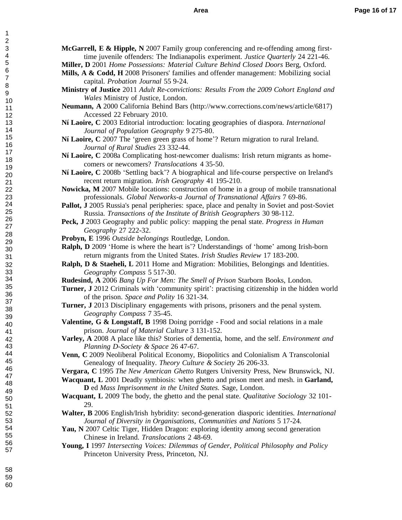**McGarrell, E & Hipple, N** 2007 Family group conferencing and re-offending among first-<sup>4</sup> time juvenile offenders: The Indianapolis experiment. *Justice Quarterly* 24 221-46.<br>5 **Miller D** 2001 Home Possessions: *Material Culture Behind Closed Doors Berg*, Oxford

**Miller, D** 2001 *Home Possessions: Material Culture Behind Closed Doors* Berg, Oxford.

- **Mills, A & Codd, H** 2008 Prisoners' families and offender management: Mobilizing social capital. *Probation Journal* 55 9-24.
- **Ministry of Justice** <sup>2011</sup> *Adult Re-convictions: Results From the <sup>2009</sup> Cohort England and Wales* Ministry of Justice, London.
- **Neumann,** A 2000 California Behind Bars [\(http://www.corrections.com/news/article/6817\)](http://www.corrections.com/news/article/6817) Accessed 22 February 2010.
- **Ní Laoire, C** 2003 Editorial introduction: locating geographies of diaspora. *International* 14 *Journal of Population Geography* 9 275-80.<br>15 **Níl soire** C 2007 The *forcer groop gross* of home's
- 15 **Ní Laoire, C** 2007 The 'green green grass of home'? Return migration to rural Ireland.<br>16 *Iournal of Bural Studies* 23.332.44 *Journal of Rural Studies* 23 332-44.
	- **Ní Laoire, C** 2008a Complicating host-newcomer dualisms: Irish return migrants as homecomers or newcomers? *Translocations* 4 35-50.
- 20<sup>12</sup> **Ní Laoire,** C 2008b 'Settling back'? A biographical and life-course perspective on Ireland's recent return migration. *Irish Geography* 41 195-210.
- **Nowicka, M** 2007 Mobile locations: construction of home in a group of mobile transnational professionals. *Global Networks-a Journal of Transnational Affairs* 7 69-86.
- **Pallot, J** 2005 Russia's penal peripheries: space, place and penalty in Soviet and post-Soviet **Pallot**, **Proposed by Transactions** of the Institute of Pritish Geographers 30.08, 112 Russia. *Transactions of the Institute of British Geographers* 30 98-112.
- **Peck, <sup>J</sup>** <sup>2003</sup> Geography and public policy: mapping the penal state. *Progress in Human* <sup>27</sup>*Geography* <sup>27</sup> 222-32.
	- **Probyn, <sup>E</sup>** <sup>1996</sup> *Outside belongings* Routledge, London.
- **Ralph, D** 2009 'Home is where the heart is'? Understandings of 'home' among Irish-born return migrants from the United States. *Irish Studies Review* 17 183-200.
- **Ralph, D & Staeheli, L** 2011 Home and Migration: Mobilities, Belongings and Identities. *Geography Compass* 5 517-30.
- **Rudesind, A** 2006 *Bang Up For Men: The Smell of Prison* Starborn Books, London.
- **Turner, J** 2012 Criminals with 'community spirit': practising citizenship in the hidden world<br>36 <sup>36</sup> of the prison. *Space and Polity* 16 321-34.
- **Turner, J** 2013 Disciplinary engagements with prisons, prisoners and the penal system. *Geography Compass* <sup>7</sup> 35-45.
- **Valentine, G & Longstaff, B** 1998 Doing porridge Food and social relations in a male prison. *Journal of Material Culture* 3 131-152.
- **Varley, A** 2008 A place like this? Stories of dementia, home, and the self. *Environment and Planning D-Society & Space* 26 47-67.
- **Venn, C** 2009 Neoliberal Political Economy, Biopolitics and Colonialism A Transcolonial<br>45 Cenealogy of Inequality *Theory Culture & Society* 26, 206-33 45 Genealogy of Inequality. *Theory Culture & Society* 26 206-33.<br>46 **Vergere C** 1005 *The New American Chatte Butgers* University Press.
- **Vergara, C** 1995 *The New American Ghetto* Rutgers University Press, New Brunswick, NJ.
- **Wacquant, <sup>L</sup>** <sup>2001</sup> Deadly symbiosis: when ghetto and prison meet and mesh. in **Garland,** <sup>48</sup>**<sup>D</sup>** ed *Mass Imprisonment in the United States.* Sage, London.
- **Wacquant, L** 2009 The body, the ghetto and the penal state. *Qualitative Sociology* 32 101-<br>51 29. 29.
- **Walter, B** 2006 English/Irish hybridity: second-generation diasporic identities. *International Journal of Diversity in Organisations, Communities and Nations* 5 17-24.
- **Fau, N** 2007 Celtic Tiger, Hidden Dragon: exploring identity among second generation Chinese in Ireland *Translocations* 2.48-69 Chinese in Ireland. *Translocations* 2 48-69.
- **Young, I** 1997 *Intersecting Voices: Dilemmas of Gender, Political Philosophy and Policy* Princeton University Press, Princeton, NJ.